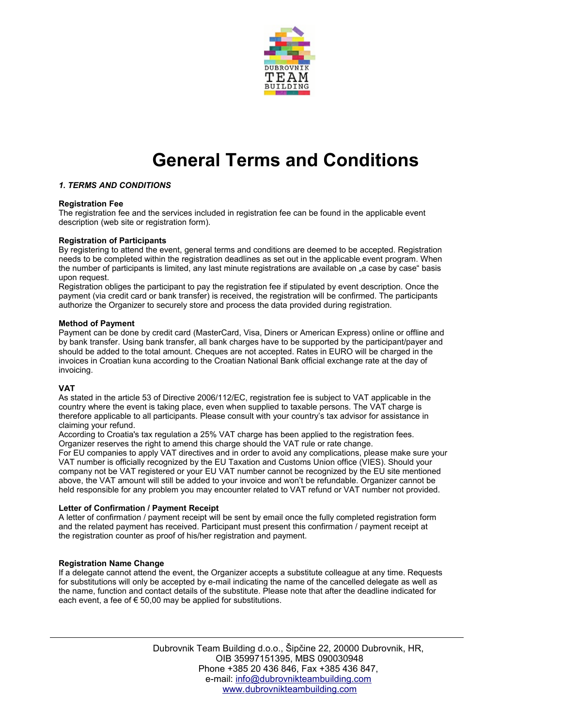

# **General Terms and Conditions**

# *1. TERMS AND CONDITIONS*

## **Registration Fee**

The registration fee and the services included in registration fee can be found in the applicable event description (web site or registration form).

## **Registration of Participants**

By registering to attend the event, general terms and conditions are deemed to be accepted. Registration needs to be completed within the registration deadlines as set out in the applicable event program. When the number of participants is limited, any last minute registrations are available on "a case by case" basis upon request.

Registration obliges the participant to pay the registration fee if stipulated by event description. Once the payment (via credit card or bank transfer) is received, the registration will be confirmed. The participants authorize the Organizer to securely store and process the data provided during registration.

## **Method of Payment**

Payment can be done by credit card (MasterCard, Visa, Diners or American Express) online or offline and by bank transfer. Using bank transfer, all bank charges have to be supported by the participant/payer and should be added to the total amount. Cheques are not accepted. Rates in EURO will be charged in the invoices in Croatian kuna according to the Croatian National Bank official exchange rate at the day of invoicing.

## **VAT**

As stated in the article 53 of Directive 2006/112/EC, registration fee is subject to VAT applicable in the country where the event is taking place, even when supplied to taxable persons. The VAT charge is therefore applicable to all participants. Please consult with your country's tax advisor for assistance in claiming your refund.

According to Croatia's tax regulation a 25% VAT charge has been applied to the registration fees. Organizer reserves the right to amend this charge should the VAT rule or rate change.

For EU companies to apply VAT directives and in order to avoid any complications, please make sure your VAT number is officially recognized by the EU Taxation and Customs Union office (VIES). Should your company not be VAT registered or your EU VAT number cannot be recognized by the EU site mentioned above, the VAT amount will still be added to your invoice and won't be refundable. Organizer cannot be held responsible for any problem you may encounter related to VAT refund or VAT number not provided.

## **Letter of Confirmation / Payment Receipt**

A letter of confirmation / payment receipt will be sent by email once the fully completed registration form and the related payment has received. Participant must present this confirmation / payment receipt at the registration counter as proof of his/her registration and payment.

## **Registration Name Change**

If a delegate cannot attend the event, the Organizer accepts a substitute colleague at any time. Requests for substitutions will only be accepted by e-mail indicating the name of the cancelled delegate as well as the name, function and contact details of the substitute. Please note that after the deadline indicated for each event, a fee of € 50,00 may be applied for substitutions.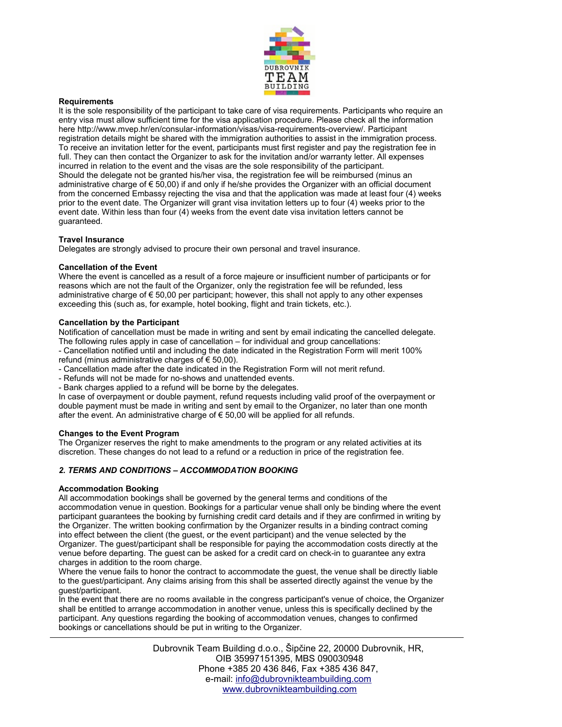

## **Requirements**

It is the sole responsibility of the participant to take care of visa requirements. Participants who require an entry visa must allow sufficient time for the visa application procedure. Please check all the information here http://www.mvep.hr/en/consular-information/visas/visa-requirements-overview/. Participant registration details might be shared with the immigration authorities to assist in the immigration process. To receive an invitation letter for the event, participants must first register and pay the registration fee in full. They can then contact the Organizer to ask for the invitation and/or warranty letter. All expenses incurred in relation to the event and the visas are the sole responsibility of the participant. Should the delegate not be granted his/her visa, the registration fee will be reimbursed (minus an administrative charge of € 50,00) if and only if he/she provides the Organizer with an official document from the concerned Embassy rejecting the visa and that the application was made at least four (4) weeks prior to the event date. The Organizer will grant visa invitation letters up to four (4) weeks prior to the event date. Within less than four (4) weeks from the event date visa invitation letters cannot be guaranteed.

## **Travel Insurance**

Delegates are strongly advised to procure their own personal and travel insurance.

## **Cancellation of the Event**

Where the event is cancelled as a result of a force majeure or insufficient number of participants or for reasons which are not the fault of the Organizer, only the registration fee will be refunded, less administrative charge of € 50,00 per participant; however, this shall not apply to any other expenses exceeding this (such as, for example, hotel booking, flight and train tickets, etc.).

## **Cancellation by the Participant**

Notification of cancellation must be made in writing and sent by email indicating the cancelled delegate. The following rules apply in case of cancellation – for individual and group cancellations:

- Cancellation notified until and including the date indicated in the Registration Form will merit 100% refund (minus administrative charges of  $\epsilon$  50,00).

- Cancellation made after the date indicated in the Registration Form will not merit refund.

- Refunds will not be made for no-shows and unattended events.

- Bank charges applied to a refund will be borne by the delegates.

In case of overpayment or double payment, refund requests including valid proof of the overpayment or double payment must be made in writing and sent by email to the Organizer, no later than one month after the event. An administrative charge of  $\epsilon$  50,00 will be applied for all refunds.

## **Changes to the Event Program**

The Organizer reserves the right to make amendments to the program or any related activities at its discretion. These changes do not lead to a refund or a reduction in price of the registration fee.

# *2. TERMS AND CONDITIONS – ACCOMMODATION BOOKING*

## **Accommodation Booking**

All accommodation bookings shall be governed by the general terms and conditions of the accommodation venue in question. Bookings for a particular venue shall only be binding where the event participant guarantees the booking by furnishing credit card details and if they are confirmed in writing by the Organizer. The written booking confirmation by the Organizer results in a binding contract coming into effect between the client (the guest, or the event participant) and the venue selected by the Organizer. The guest/participant shall be responsible for paying the accommodation costs directly at the venue before departing. The guest can be asked for a credit card on check-in to guarantee any extra charges in addition to the room charge.

Where the venue fails to honor the contract to accommodate the guest, the venue shall be directly liable to the guest/participant. Any claims arising from this shall be asserted directly against the venue by the guest/participant.

In the event that there are no rooms available in the congress participant's venue of choice, the Organizer shall be entitled to arrange accommodation in another venue, unless this is specifically declined by the participant. Any questions regarding the booking of accommodation venues, changes to confirmed bookings or cancellations should be put in writing to the Organizer.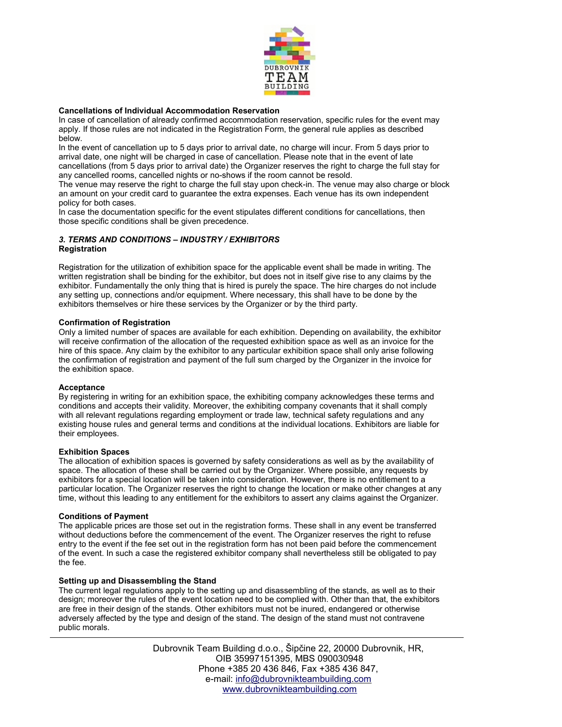

## **Cancellations of Individual Accommodation Reservation**

In case of cancellation of already confirmed accommodation reservation, specific rules for the event may apply. If those rules are not indicated in the Registration Form, the general rule applies as described below.

In the event of cancellation up to 5 days prior to arrival date, no charge will incur. From 5 days prior to arrival date, one night will be charged in case of cancellation. Please note that in the event of late cancellations (from 5 days prior to arrival date) the Organizer reserves the right to charge the full stay for any cancelled rooms, cancelled nights or no-shows if the room cannot be resold.

The venue may reserve the right to charge the full stay upon check-in. The venue may also charge or block an amount on your credit card to guarantee the extra expenses. Each venue has its own independent policy for both cases.

In case the documentation specific for the event stipulates different conditions for cancellations, then those specific conditions shall be given precedence.

## *3. TERMS AND CONDITIONS – INDUSTRY / EXHIBITORS* **Registration**

Registration for the utilization of exhibition space for the applicable event shall be made in writing. The written registration shall be binding for the exhibitor, but does not in itself give rise to any claims by the exhibitor. Fundamentally the only thing that is hired is purely the space. The hire charges do not include any setting up, connections and/or equipment. Where necessary, this shall have to be done by the exhibitors themselves or hire these services by the Organizer or by the third party.

## **Confirmation of Registration**

Only a limited number of spaces are available for each exhibition. Depending on availability, the exhibitor will receive confirmation of the allocation of the requested exhibition space as well as an invoice for the hire of this space. Any claim by the exhibitor to any particular exhibition space shall only arise following the confirmation of registration and payment of the full sum charged by the Organizer in the invoice for the exhibition space.

#### **Acceptance**

By registering in writing for an exhibition space, the exhibiting company acknowledges these terms and conditions and accepts their validity. Moreover, the exhibiting company covenants that it shall comply with all relevant regulations regarding employment or trade law, technical safety regulations and any existing house rules and general terms and conditions at the individual locations. Exhibitors are liable for their employees.

#### **Exhibition Spaces**

The allocation of exhibition spaces is governed by safety considerations as well as by the availability of space. The allocation of these shall be carried out by the Organizer. Where possible, any requests by exhibitors for a special location will be taken into consideration. However, there is no entitlement to a particular location. The Organizer reserves the right to change the location or make other changes at any time, without this leading to any entitlement for the exhibitors to assert any claims against the Organizer.

#### **Conditions of Payment**

The applicable prices are those set out in the registration forms. These shall in any event be transferred without deductions before the commencement of the event. The Organizer reserves the right to refuse entry to the event if the fee set out in the registration form has not been paid before the commencement of the event. In such a case the registered exhibitor company shall nevertheless still be obligated to pay the fee.

#### **Setting up and Disassembling the Stand**

The current legal regulations apply to the setting up and disassembling of the stands, as well as to their design; moreover the rules of the event location need to be complied with. Other than that, the exhibitors are free in their design of the stands. Other exhibitors must not be inured, endangered or otherwise adversely affected by the type and design of the stand. The design of the stand must not contravene public morals.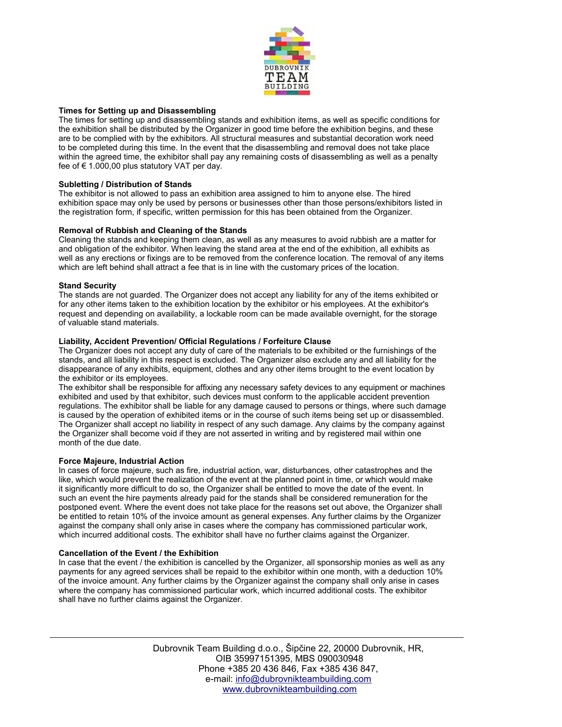

## **Times for Setting up and Disassembling**

The times for setting up and disassembling stands and exhibition items, as well as specific conditions for the exhibition shall be distributed by the Organizer in good time before the exhibition begins, and these are to be complied with by the exhibitors. All structural measures and substantial decoration work need to be completed during this time. In the event that the disassembling and removal does not take place within the agreed time, the exhibitor shall pay any remaining costs of disassembling as well as a penalty fee of € 1.000,00 plus statutory VAT per day.

#### **Subletting / Distribution of Stands**

The exhibitor is not allowed to pass an exhibition area assigned to him to anyone else. The hired exhibition space may only be used by persons or businesses other than those persons/exhibitors listed in the registration form, if specific, written permission for this has been obtained from the Organizer.

## **Removal of Rubbish and Cleaning of the Stands**

Cleaning the stands and keeping them clean, as well as any measures to avoid rubbish are a matter for and obligation of the exhibitor. When leaving the stand area at the end of the exhibition, all exhibits as well as any erections or fixings are to be removed from the conference location. The removal of any items which are left behind shall attract a fee that is in line with the customary prices of the location.

## **Stand Security**

The stands are not guarded. The Organizer does not accept any liability for any of the items exhibited or for any other items taken to the exhibition location by the exhibitor or his employees. At the exhibitor's request and depending on availability, a lockable room can be made available overnight, for the storage of valuable stand materials.

## **Liability, Accident Prevention/ Official Regulations / Forfeiture Clause**

The Organizer does not accept any duty of care of the materials to be exhibited or the furnishings of the stands, and all liability in this respect is excluded. The Organizer also exclude any and all liability for the disappearance of any exhibits, equipment, clothes and any other items brought to the event location by the exhibitor or its employees.

The exhibitor shall be responsible for affixing any necessary safety devices to any equipment or machines exhibited and used by that exhibitor, such devices must conform to the applicable accident prevention regulations. The exhibitor shall be liable for any damage caused to persons or things, where such damage is caused by the operation of exhibited items or in the course of such items being set up or disassembled. The Organizer shall accept no liability in respect of any such damage. Any claims by the company against the Organizer shall become void if they are not asserted in writing and by registered mail within one month of the due date.

#### **Force Majeure, Industrial Action**

In cases of force majeure, such as fire, industrial action, war, disturbances, other catastrophes and the like, which would prevent the realization of the event at the planned point in time, or which would make it significantly more difficult to do so, the Organizer shall be entitled to move the date of the event. In such an event the hire payments already paid for the stands shall be considered remuneration for the postponed event. Where the event does not take place for the reasons set out above, the Organizer shall be entitled to retain 10% of the invoice amount as general expenses. Any further claims by the Organizer against the company shall only arise in cases where the company has commissioned particular work, which incurred additional costs. The exhibitor shall have no further claims against the Organizer.

## **Cancellation of the Event / the Exhibition**

In case that the event / the exhibition is cancelled by the Organizer, all sponsorship monies as well as any payments for any agreed services shall be repaid to the exhibitor within one month, with a deduction 10% of the invoice amount. Any further claims by the Organizer against the company shall only arise in cases where the company has commissioned particular work, which incurred additional costs. The exhibitor shall have no further claims against the Organizer.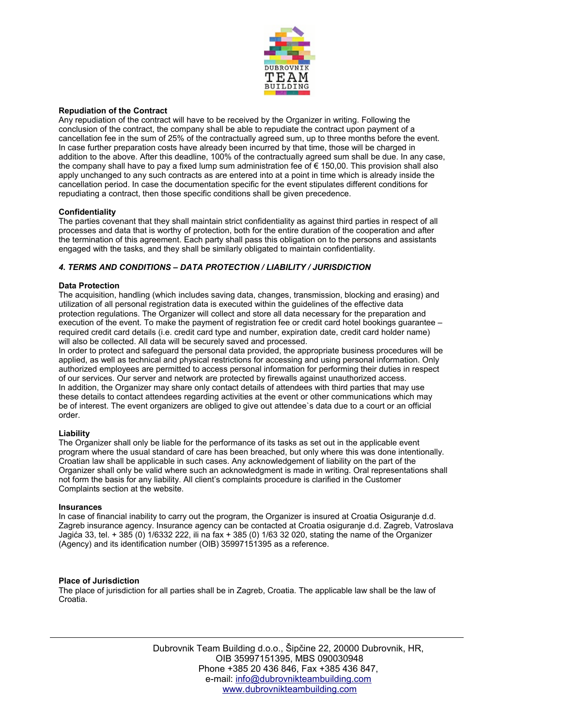

## **Repudiation of the Contract**

Any repudiation of the contract will have to be received by the Organizer in writing. Following the conclusion of the contract, the company shall be able to repudiate the contract upon payment of a cancellation fee in the sum of 25% of the contractually agreed sum, up to three months before the event. In case further preparation costs have already been incurred by that time, those will be charged in addition to the above. After this deadline, 100% of the contractually agreed sum shall be due. In any case, the company shall have to pay a fixed lump sum administration fee of € 150,00. This provision shall also apply unchanged to any such contracts as are entered into at a point in time which is already inside the cancellation period. In case the documentation specific for the event stipulates different conditions for repudiating a contract, then those specific conditions shall be given precedence.

## **Confidentiality**

The parties covenant that they shall maintain strict confidentiality as against third parties in respect of all processes and data that is worthy of protection, both for the entire duration of the cooperation and after the termination of this agreement. Each party shall pass this obligation on to the persons and assistants engaged with the tasks, and they shall be similarly obligated to maintain confidentiality.

## *4. TERMS AND CONDITIONS – DATA PROTECTION / LIABILITY / JURISDICTION*

## **Data Protection**

The acquisition, handling (which includes saving data, changes, transmission, blocking and erasing) and utilization of all personal registration data is executed within the guidelines of the effective data protection regulations. The Organizer will collect and store all data necessary for the preparation and execution of the event. To make the payment of registration fee or credit card hotel bookings guarantee – required credit card details (i.e. credit card type and number, expiration date, credit card holder name) will also be collected. All data will be securely saved and processed.

In order to protect and safeguard the personal data provided, the appropriate business procedures will be applied, as well as technical and physical restrictions for accessing and using personal information. Only authorized employees are permitted to access personal information for performing their duties in respect of our services. Our server and network are protected by firewalls against unauthorized access. In addition, the Organizer may share only contact details of attendees with third parties that may use these details to contact attendees regarding activities at the event or other communications which may be of interest. The event organizers are obliged to give out attendee`s data due to a court or an official order.

#### **Liability**

The Organizer shall only be liable for the performance of its tasks as set out in the applicable event program where the usual standard of care has been breached, but only where this was done intentionally. Croatian law shall be applicable in such cases. Any acknowledgement of liability on the part of the Organizer shall only be valid where such an acknowledgment is made in writing. Oral representations shall not form the basis for any liability. All client's complaints procedure is clarified in the Customer Complaints section at the website.

#### **Insurances**

In case of financial inability to carry out the program, the Organizer is insured at Croatia Osiguranje d.d. Zagreb insurance agency. Insurance agency can be contacted at Croatia osiguranje d.d. Zagreb, Vatroslava Jagića 33, tel. + 385 (0) 1/6332 222, ili na fax + 385 (0) 1/63 32 020, stating the name of the Organizer (Agency) and its identification number (OIB) 35997151395 as a reference.

## **Place of Jurisdiction**

The place of jurisdiction for all parties shall be in Zagreb, Croatia. The applicable law shall be the law of Croatia.